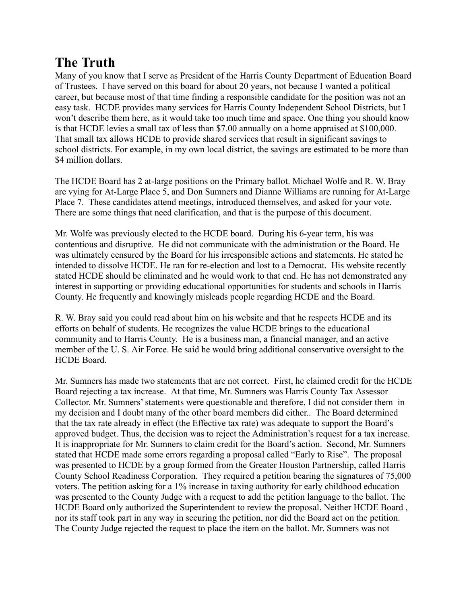## **The Truth**

Many of you know that I serve as President of the Harris County Department of Education Board of Trustees. I have served on this board for about 20 years, not because I wanted a political career, but because most of that time finding a responsible candidate for the position was not an easy task. HCDE provides many services for Harris County Independent School Districts, but I won't describe them here, as it would take too much time and space. One thing you should know is that HCDE levies a small tax of less than \$7.00 annually on a home appraised at \$100,000. That small tax allows HCDE to provide shared services that result in significant savings to school districts. For example, in my own local district, the savings are estimated to be more than \$4 million dollars.

The HCDE Board has 2 at-large positions on the Primary ballot. Michael Wolfe and R. W. Bray are vying for At-Large Place 5, and Don Sumners and Dianne Williams are running for At-Large Place 7. These candidates attend meetings, introduced themselves, and asked for your vote. There are some things that need clarification, and that is the purpose of this document.

Mr. Wolfe was previously elected to the HCDE board. During his 6-year term, his was contentious and disruptive. He did not communicate with the administration or the Board. He was ultimately censured by the Board for his irresponsible actions and statements. He stated he intended to dissolve HCDE. He ran for re-election and lost to a Democrat. His website recently stated HCDE should be eliminated and he would work to that end. He has not demonstrated any interest in supporting or providing educational opportunities for students and schools in Harris County. He frequently and knowingly misleads people regarding HCDE and the Board.

R. W. Bray said you could read about him on his website and that he respects HCDE and its efforts on behalf of students. He recognizes the value HCDE brings to the educational community and to Harris County. He is a business man, a financial manager, and an active member of the U. S. Air Force. He said he would bring additional conservative oversight to the HCDE Board.

Mr. Sumners has made two statements that are not correct. First, he claimed credit for the HCDE Board rejecting a tax increase. At that time, Mr. Sumners was Harris County Tax Assessor Collector. Mr. Sumners' statements were questionable and therefore, I did not consider them in my decision and I doubt many of the other board members did either.. The Board determined that the tax rate already in effect (the Effective tax rate) was adequate to support the Board's approved budget. Thus, the decision was to reject the Administration's request for a tax increase. It is inappropriate for Mr. Sumners to claim credit for the Board's action. Second, Mr. Sumners stated that HCDE made some errors regarding a proposal called "Early to Rise". The proposal was presented to HCDE by a group formed from the Greater Houston Partnership, called Harris County School Readiness Corporation. They required a petition bearing the signatures of 75,000 voters. The petition asking for a 1% increase in taxing authority for early childhood education was presented to the County Judge with a request to add the petition language to the ballot. The HCDE Board only authorized the Superintendent to review the proposal. Neither HCDE Board , nor its staff took part in any way in securing the petition, nor did the Board act on the petition. The County Judge rejected the request to place the item on the ballot. Mr. Sumners was not